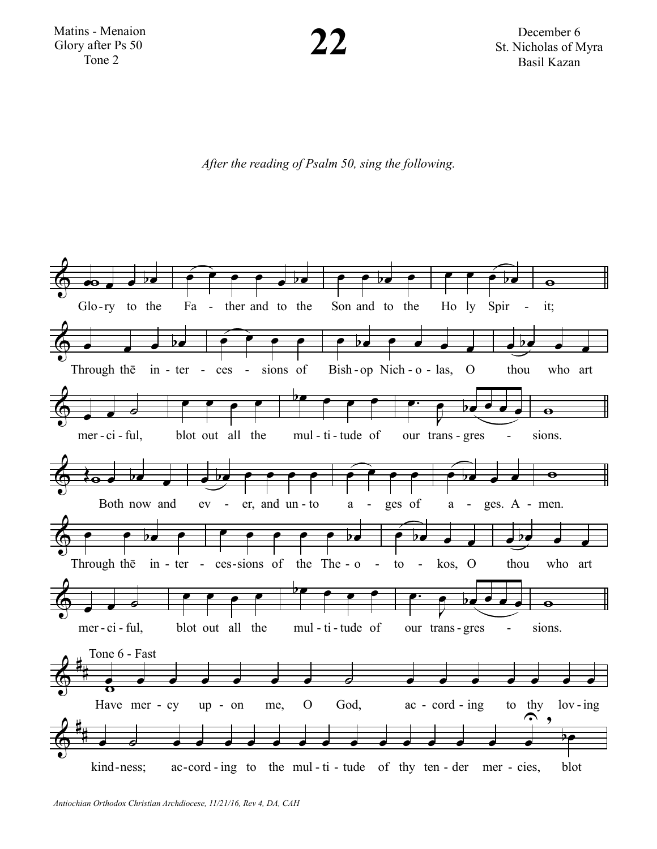

December 6 St. Nicholas of Myra Basil Kazan

*After the reading of Psalm 50, sing the following.*